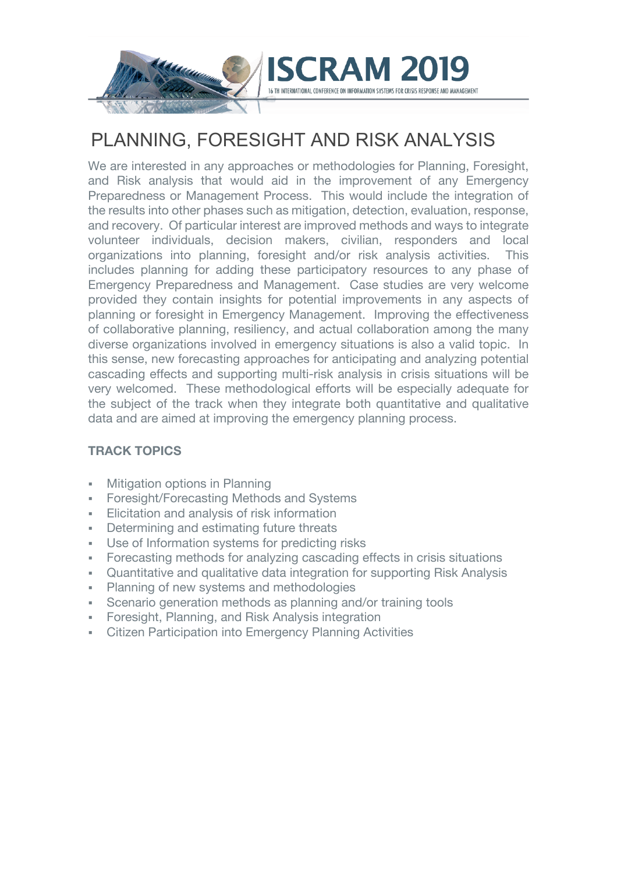

# PLANNING, FORESIGHT AND RISK ANALYSIS

RAM 2

We are interested in any approaches or methodologies for Planning, Foresight, and Risk analysis that would aid in the improvement of any Emergency Preparedness or Management Process. This would include the integration of the results into other phases such as mitigation, detection, evaluation, response, and recovery. Of particular interest are improved methods and ways to integrate volunteer individuals, decision makers, civilian, responders and local organizations into planning, foresight and/or risk analysis activities. This includes planning for adding these participatory resources to any phase of Emergency Preparedness and Management. Case studies are very welcome provided they contain insights for potential improvements in any aspects of planning or foresight in Emergency Management. Improving the effectiveness of collaborative planning, resiliency, and actual collaboration among the many diverse organizations involved in emergency situations is also a valid topic. In this sense, new forecasting approaches for anticipating and analyzing potential cascading effects and supporting multi-risk analysis in crisis situations will be very welcomed. These methodological efforts will be especially adequate for the subject of the track when they integrate both quantitative and qualitative data and are aimed at improving the emergency planning process.

#### **TRACK TOPICS**

- **Mitigation options in Planning**
- § Foresight/Forecasting Methods and Systems
- Elicitation and analysis of risk information
- **•** Determining and estimating future threats
- § Use of Information systems for predicting risks
- Forecasting methods for analyzing cascading effects in crisis situations
- § Quantitative and qualitative data integration for supporting Risk Analysis
- § Planning of new systems and methodologies
- Scenario generation methods as planning and/or training tools
- § Foresight, Planning, and Risk Analysis integration
- § Citizen Participation into Emergency Planning Activities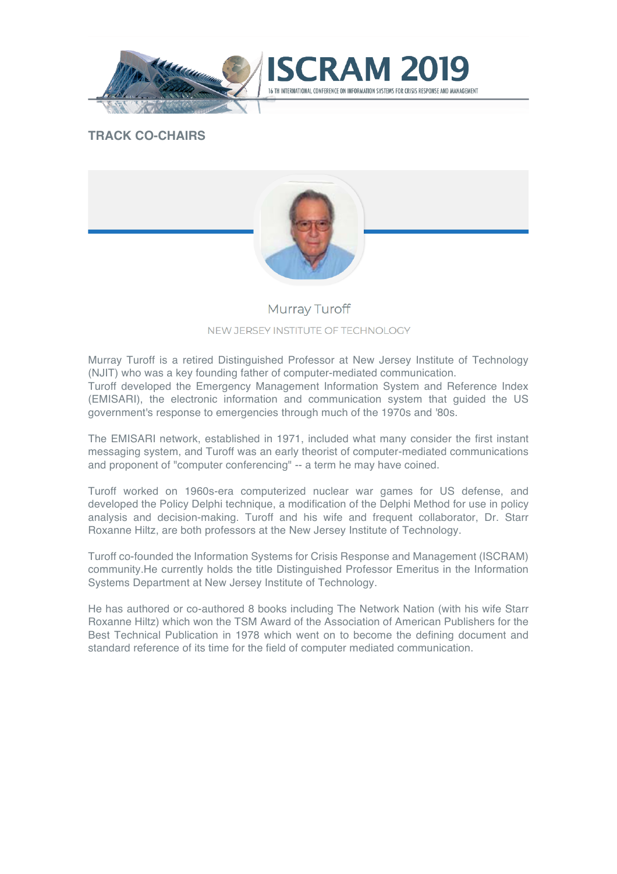



### **TRACK CO-CHAIRS**



### **Murray Turoff** NEW JERSEY INSTITUTE OF TECHNOLOGY

Murray Turoff is a retired Distinguished Professor at New Jersey Institute of Technology (NJIT) who was a key founding father of computer-mediated communication.

Turoff developed the Emergency Management Information System and Reference Index (EMISARI), the electronic information and communication system that guided the US government's response to emergencies through much of the 1970s and '80s.

The EMISARI network, established in 1971, included what many consider the first instant messaging system, and Turoff was an early theorist of computer-mediated communications and proponent of "computer conferencing" -- a term he may have coined.

Turoff worked on 1960s-era computerized nuclear war games for US defense, and developed the Policy Delphi technique, a modification of the Delphi Method for use in policy analysis and decision-making. Turoff and his wife and frequent collaborator, Dr. Starr Roxanne Hiltz, are both professors at the New Jersey Institute of Technology.

Turoff co-founded the Information Systems for Crisis Response and Management (ISCRAM) community.He currently holds the title Distinguished Professor Emeritus in the Information Systems Department at New Jersey Institute of Technology.

He has authored or co-authored 8 books including The Network Nation (with his wife Starr Roxanne Hiltz) which won the TSM Award of the Association of American Publishers for the Best Technical Publication in 1978 which went on to become the defining document and standard reference of its time for the field of computer mediated communication.